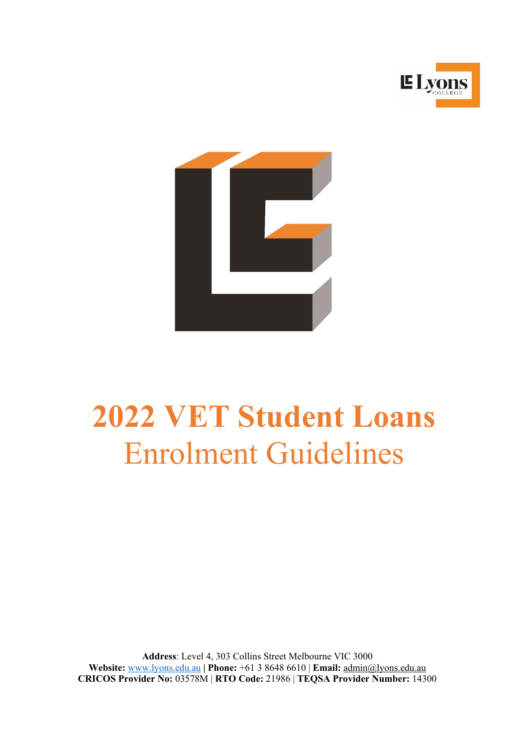



# **2022 VET Student Loans** Enrolment Guidelines

**Address**: Level 4, 303 Collins Street Melbourne VIC 3000 **Website:** [www.lyons.edu.au](http://www.lyons.edu.au/) **| Phone:** +61 3 8648 6610 | **Email:** [admin@lyons.edu.au](mailto:admin@lyons.edu.au) **CRICOS Provider No:** 03578M | **RTO Code:** 21986 | **TEQSA Provider Number:** 14300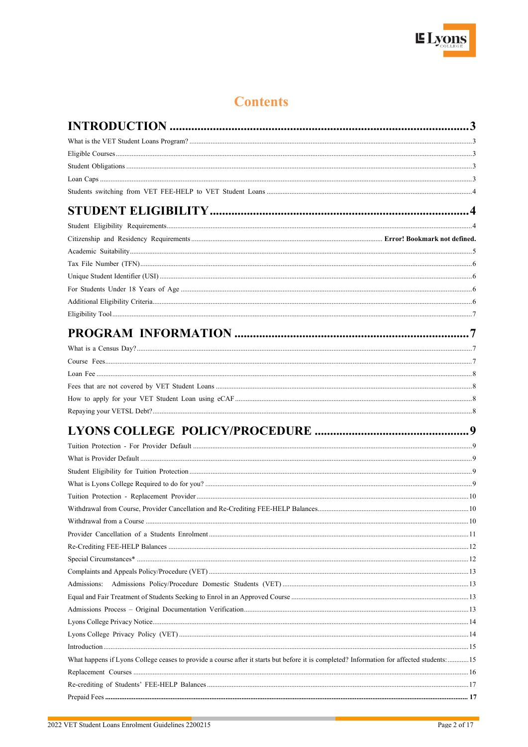

# **Contents**

|                                                                                                                                           | 3 |
|-------------------------------------------------------------------------------------------------------------------------------------------|---|
|                                                                                                                                           |   |
|                                                                                                                                           |   |
|                                                                                                                                           |   |
|                                                                                                                                           |   |
|                                                                                                                                           |   |
|                                                                                                                                           |   |
|                                                                                                                                           |   |
|                                                                                                                                           |   |
|                                                                                                                                           |   |
|                                                                                                                                           |   |
|                                                                                                                                           |   |
|                                                                                                                                           |   |
|                                                                                                                                           |   |
|                                                                                                                                           |   |
|                                                                                                                                           |   |
|                                                                                                                                           |   |
|                                                                                                                                           |   |
|                                                                                                                                           |   |
|                                                                                                                                           |   |
|                                                                                                                                           |   |
|                                                                                                                                           |   |
|                                                                                                                                           |   |
|                                                                                                                                           |   |
|                                                                                                                                           |   |
|                                                                                                                                           |   |
|                                                                                                                                           |   |
|                                                                                                                                           |   |
|                                                                                                                                           |   |
|                                                                                                                                           |   |
|                                                                                                                                           |   |
|                                                                                                                                           |   |
|                                                                                                                                           |   |
|                                                                                                                                           |   |
|                                                                                                                                           |   |
|                                                                                                                                           |   |
|                                                                                                                                           |   |
|                                                                                                                                           |   |
|                                                                                                                                           |   |
|                                                                                                                                           |   |
| What happens if Lyons College ceases to provide a course after it starts but before it is completed? Information for affected students:15 |   |
|                                                                                                                                           |   |
|                                                                                                                                           |   |
|                                                                                                                                           |   |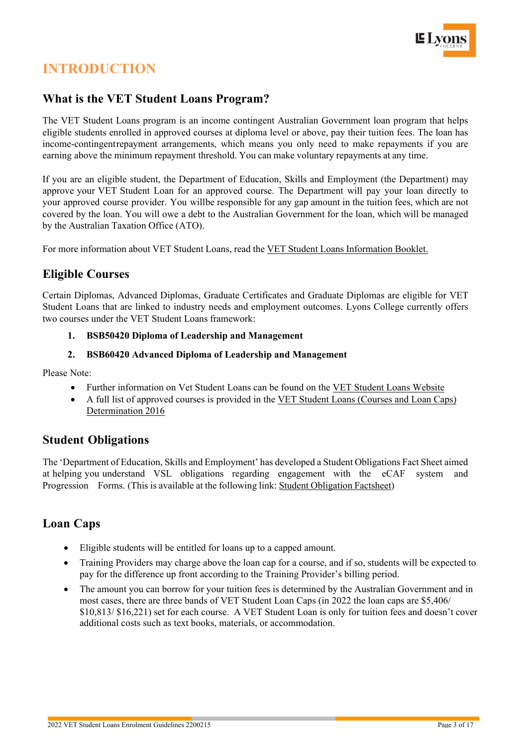

# <span id="page-2-0"></span>**INTRODUCTION**

#### <span id="page-2-1"></span>**What is the VET Student Loans Program?**

The VET Student Loans program is an income contingent Australian Government loan program that helps eligible students enrolled in approved courses at diploma level or above, pay their tuition fees. The loan has income-contingentrepayment arrangements, which means you only need to make repayments if you are earning above the minimum repayment threshold. You can make voluntary repayments at any time.

If you are an eligible student, the Department of Education, Skills and Employment (the Department) may approve your VET Student Loan for an approved course. The Department will pay your loan directly to your approved course provider. You willbe responsible for any gap amount in the tuition fees, which are not covered by the loan. You will owe a debt to the Australian Government for the loan, which will be managed by the Australian Taxation Office (ATO).

For more information about VET Student Loans, read the VET Student Loans [Information](https://www.dese.gov.au/vet-student-loans/resources/vet-student-loans-information-booklet) Booklet.

#### <span id="page-2-2"></span>**Eligible Courses**

Certain Diplomas, Advanced Diplomas, Graduate Certificates and Graduate Diplomas are eligible for VET Student Loans that are linked to industry needs and employment outcomes. Lyons College currently offers two courses under the VET Student Loans framework:

#### **1. BSB50420 Diploma of Leadership and Management**

#### **2. BSB60420 Advanced Diploma of Leadership and Management**

Please Note:

- Further information on Vet Student Loans can be found on the VET Student Loans Website
- A full list of approved courses is provided in the VET Student Loans (Courses and Loan Caps) Determination 2016

#### <span id="page-2-3"></span>**Student Obligations**

The 'Department of Education, Skills and Employment' has developed a Student Obligations Fact Sheet aimed at helping you understand VSL obligations regarding engagement with the eCAF system and Progression Forms. (This is available at the following link: Student [Obligation](https://www.dese.gov.au/vet-student-loans/resources/student-obligations) Factsheet)

#### <span id="page-2-4"></span>**Loan Caps**

- Eligible students will be entitled for loans up to a capped amount.
- Training Providers may charge above the loan cap for a course, and if so, students will be expected to pay for the difference up front according to the Training Provider's billing period.
- <span id="page-2-5"></span>• The amount you can borrow for your tuition fees is determined by the Australian Government and in most cases, there are three bands of VET Student Loan Caps (in 2022 the loan caps are \$5,406/ \$10,813/ \$16,221) set for each course. A VET Student Loan is only for tuition fees and doesn't cover additional costs such as text books, materials, or accommodation.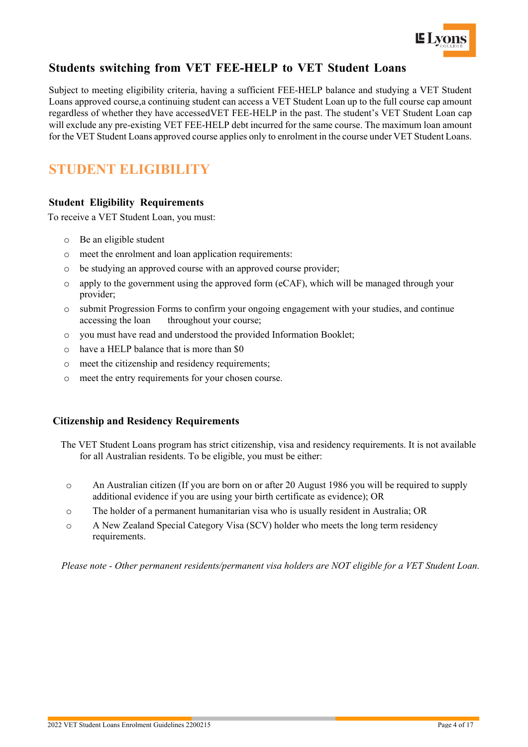

# **Students switching from VET FEE-HELP to VET Student Loans**

Subject to meeting eligibility criteria, having a sufficient FEE-HELP balance and studying a VET Student Loans approved course,a continuing student can access a VET Student Loan up to the full course cap amount regardless of whether they have accessedVET FEE-HELP in the past. The student's VET Student Loan cap will exclude any pre-existing VET FEE-HELP debt incurred for the same course. The maximum loan amount for the VET Student Loans approved course applies only to enrolment in the course under VET Student Loans.

# <span id="page-3-0"></span>**STUDENT ELIGIBILITY**

#### <span id="page-3-1"></span>**Student Eligibility Requirements**

To receive a VET Student Loan, you must:

- o Be an eligible student
- o meet the enrolment and loan application requirements:
- o be studying an approved course with an approved course provider;
- $\circ$  apply to the government using the approved form (eCAF), which will be managed through your provider;
- o submit Progression Forms to confirm your ongoing engagement with your studies, and continue throughout your course;
- o you must have read and understood the provided Information Booklet;
- o have a HELP balance that is more than \$0
- o meet the citizenship and residency requirements;
- o meet the entry requirements for your chosen course.

#### **Citizenship and Residency Requirements**

- The VET Student Loans program has strict citizenship, visa and residency requirements. It is not available for all Australian residents. To be eligible, you must be either:
	- o An Australian citizen (If you are born on or after 20 August 1986 you will be required to supply additional evidence if you are using your birth certificate as evidence); OR
	- o The holder of a permanent humanitarian visa who is usually resident in Australia; OR
	- o A New Zealand Special Category Visa (SCV) holder who meets the long term residency requirements.

*Please note - Other permanent residents/permanent visa holders are NOT eligible for a VET Student Loan.*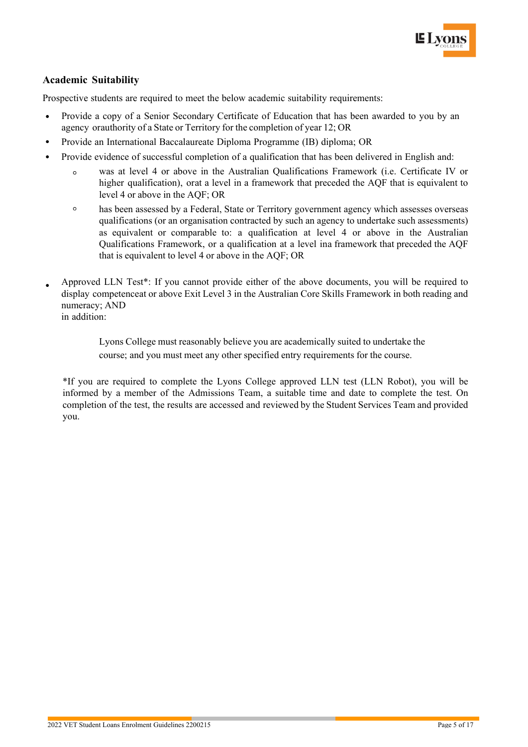

#### <span id="page-4-0"></span>**Academic Suitability**

Prospective students are required to meet the below academic suitability requirements:

- Provide a copy of a Senior Secondary Certificate of Education that has been awarded to you by an agency orauthority of a State or Territory for the completion of year 12; OR
- Provide an International Baccalaureate Diploma Programme (IB) diploma; OR
- Provide evidence of successful completion of a qualification that has been delivered in English and:
	- was at level 4 or above in the Australian Qualifications Framework (i.e. Certificate IV or  $\circ$ higher qualification), orat a level in a framework that preceded the AQF that is equivalent to level 4 or above in the AQF; OR
	- $\circ$ has been assessed by a Federal, State or Territory government agency which assesses overseas qualifications (or an organisation contracted by such an agency to undertake such assessments) as equivalent or comparable to: a qualification at level 4 or above in the Australian Qualifications Framework, or a qualification at a level ina framework that preceded the AQF that is equivalent to level 4 or above in the AQF; OR
- Approved LLN Test\*: If you cannot provide either of the above documents, you will be required to display competenceat or above Exit Level 3 in the Australian Core Skills Framework in both reading and numeracy; AND in addition:

Lyons College must reasonably believe you are academically suited to undertake the course; and you must meet any other specified entry requirements for the course.

\*If you are required to complete the Lyons College approved LLN test (LLN Robot), you will be informed by a member of the Admissions Team, a suitable time and date to complete the test. On completion of the test, the results are accessed and reviewed by the Student Services Team and provided you.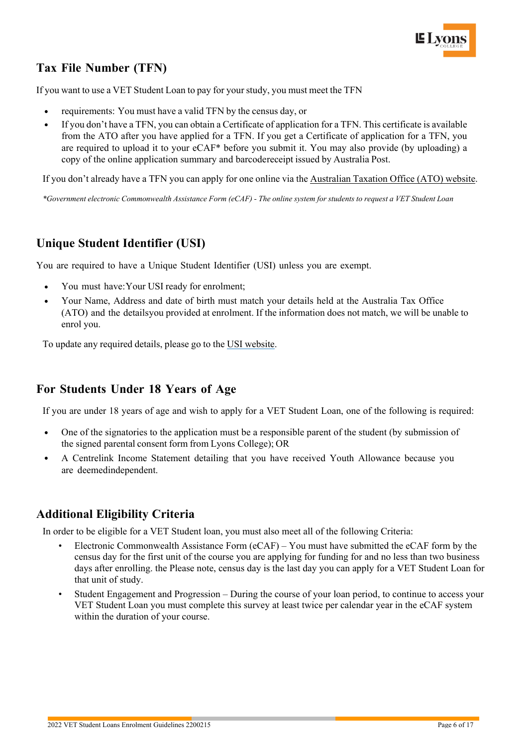# <span id="page-5-0"></span>**Tax File Number (TFN)**

If you want to use a VET Student Loan to pay for your study, you must meet the TFN

- requirements: You must have a valid TFN by the census day, or
- If you don't have a TFN, you can obtain a Certificate of application for a TFN. This certificate is available from the ATO after you have applied for a TFN. If you get a Certificate of application for a TFN, you are required to upload it to your eCAF\* before you submit it. You may also provide (by uploading) a copy of the online application summary and barcodereceipt issued by Australia Post.

If you don't already have a TFN you can apply for one online via the [Australian](https://www.ato.gov.au/) Taxation Office (ATO) website.

\*Government electronic Commonwealth Assistance Form (eCAF) - The online system for students to request a VET Student Loan

## <span id="page-5-1"></span>**Unique Student Identifier (USI)**

You are required to have a Unique Student Identifier (USI) unless you are exempt.

- You must have:Your USI ready for enrolment;
- Your Name, Address and date of birth must match your details held at the Australia Tax Office (ATO) and the detailsyou provided at enrolment. If the information does not match, we will be unable to enrol you.

To update any required details, please go to the USI website.

### <span id="page-5-2"></span>**For Students Under 18 Years of Age**

If you are under 18 years of age and wish to apply for a VET Student Loan, one of the following is required:

- One of the signatories to the application must be a responsible parent of the student (by submission of the signed parental consent form from Lyons College); OR
- A Centrelink Income Statement detailing that you have received Youth Allowance because you are deemedindependent.

### <span id="page-5-3"></span>**Additional Eligibility Criteria**

In order to be eligible for a VET Student loan, you must also meet all of the following Criteria:

- Electronic Commonwealth Assistance Form (eCAF) You must have submitted the eCAF form by the census day for the first unit of the course you are applying for funding for and no less than two business days after enrolling. the Please note, census day is the last day you can apply for a VET Student Loan for that unit of study.
- Student Engagement and Progression During the course of your loan period, to continue to access your VET Student Loan you must complete this survey at least twice per calendar year in the eCAF system within the duration of your course.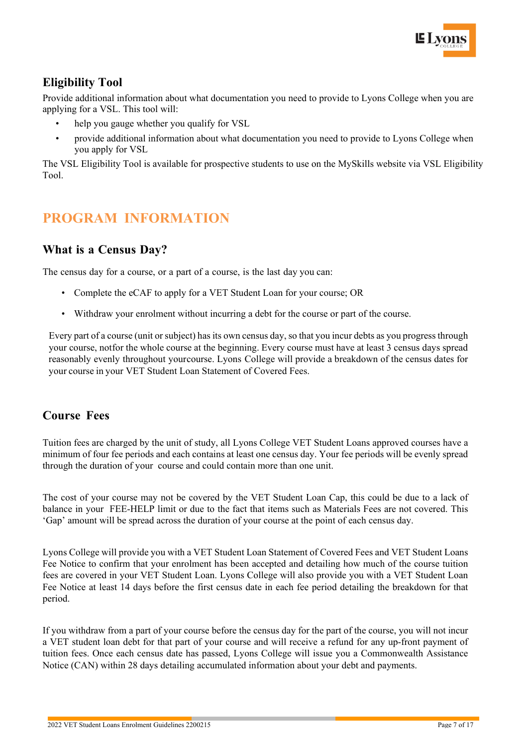

## <span id="page-6-0"></span>**Eligibility Tool**

Provide additional information about what documentation you need to provide to Lyons College when you are applying for a VSL. This tool will:

- help you gauge whether you qualify for VSL
- provide additional information about what documentation you need to provide to Lyons College when you apply for VSL

The VSL Eligibility Tool is available for prospective students to use on the MySkills website via VSL Eligibility Tool.

# <span id="page-6-1"></span>**PROGRAM INFORMATION**

#### <span id="page-6-2"></span>**What is a Census Day?**

The census day for a course, or a part of a course, is the last day you can:

- Complete the eCAF to apply for a VET Student Loan for your course; OR
- Withdraw your enrolment without incurring a debt for the course or part of the course.

Every part of a course (unit or subject) has its own census day, so that you incur debts as you progress through your course, notfor the whole course at the beginning. Every course must have at least 3 census days spread reasonably evenly throughout yourcourse. Lyons College will provide a breakdown of the census dates for your course in your VET Student Loan Statement of Covered Fees.

#### <span id="page-6-3"></span>**Course Fees**

Tuition fees are charged by the unit of study, all Lyons College VET Student Loans approved courses have a minimum of four fee periods and each contains at least one census day. Your fee periods will be evenly spread through the duration of your course and could contain more than one unit.

The cost of your course may not be covered by the VET Student Loan Cap, this could be due to a lack of balance in your FEE-HELP limit or due to the fact that items such as Materials Fees are not covered. This 'Gap' amount will be spread across the duration of your course at the point of each census day.

Lyons College will provide you with a VET Student Loan Statement of Covered Fees and VET Student Loans Fee Notice to confirm that your enrolment has been accepted and detailing how much of the course tuition fees are covered in your VET Student Loan. Lyons College will also provide you with a VET Student Loan Fee Notice at least 14 days before the first census date in each fee period detailing the breakdown for that period.

If you withdraw from a part of your course before the census day for the part of the course, you will not incur a VET student loan debt for that part of your course and will receive a refund for any up-front payment of tuition fees. Once each census date has passed, Lyons College will issue you a Commonwealth Assistance Notice (CAN) within 28 days detailing accumulated information about your debt and payments.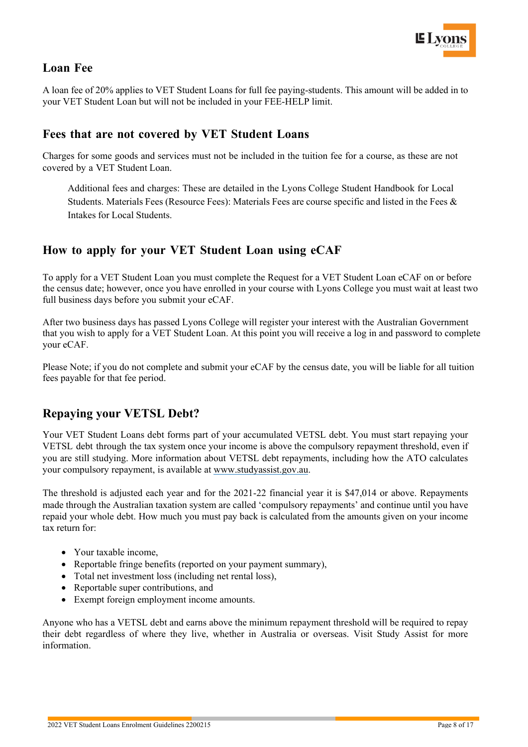

#### <span id="page-7-0"></span>**Loan Fee**

A loan fee of 20% applies to VET Student Loans for full fee paying-students. This amount will be added in to your VET Student Loan but will not be included in your FEE-HELP limit.

#### <span id="page-7-1"></span>**Fees that are not covered by VET Student Loans**

Charges for some goods and services must not be included in the tuition fee for a course, as these are not covered by a VET Student Loan.

Additional fees and charges: These are detailed in the Lyons College Student Handbook for Local Students. Materials Fees (Resource Fees): Materials Fees are course specific and listed in the Fees & Intakes for Local Students.

#### <span id="page-7-2"></span>**How to apply for your VET Student Loan using eCAF**

To apply for a VET Student Loan you must complete the Request for a VET Student Loan eCAF on or before the census date; however, once you have enrolled in your course with Lyons College you must wait at least two full business days before you submit your eCAF.

After two business days has passed Lyons College will register your interest with the Australian Government that you wish to apply for a VET Student Loan. At this point you will receive a log in and password to complete your eCAF.

Please Note; if you do not complete and submit your eCAF by the census date, you will be liable for all tuition fees payable for that fee period.

### <span id="page-7-3"></span>**Repaying your VETSL Debt?**

Your VET Student Loans debt forms part of your accumulated VETSL debt. You must start repaying your VETSL debt through the tax system once your income is above the compulsory repayment threshold, even if you are still studying. More information about VETSL debt repayments, including how the ATO calculates your compulsory repayment, is available at [www.studyassist.gov.au.](http://www.studyassist.gov.au/)

The threshold is adjusted each year and for the 2021-22 financial year it is \$47,014 or above. Repayments made through the Australian taxation system are called 'compulsory repayments' and continue until you have repaid your whole debt. How much you must pay back is calculated from the amounts given on your income tax return for:

- Your taxable income,
- Reportable fringe benefits (reported on your payment summary),
- Total net investment loss (including net rental loss),
- Reportable super contributions, and
- Exempt foreign employment income amounts.

Anyone who has a VETSL debt and earns above the minimum repayment threshold will be required to repay their debt regardless of where they live, whether in Australia or overseas. Visit Study Assist for more information.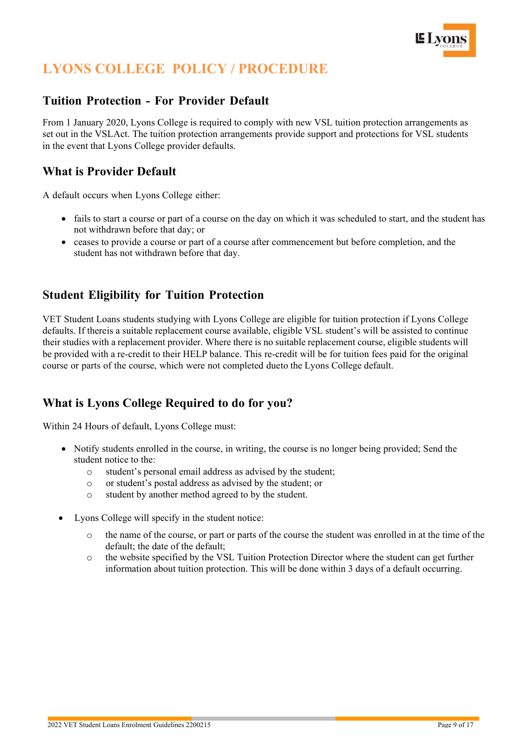

# <span id="page-8-0"></span>**LYONS COLLEGE POLICY / PROCEDURE**

#### <span id="page-8-1"></span>**Tuition Protection - For Provider Default**

From 1 January 2020, Lyons College is required to comply with new VSL tuition protection arrangements as set out in the VSLAct. The tuition protection arrangements provide support and protections for VSL students in the event that Lyons College provider defaults.

### <span id="page-8-2"></span>**What is Provider Default**

A default occurs when Lyons College either:

- fails to start a course or part of a course on the day on which it was scheduled to start, and the student has not withdrawn before that day; or
- ceases to provide a course or part of a course after commencement but before completion, and the student has not withdrawn before that day.

### <span id="page-8-3"></span>**Student Eligibility for Tuition Protection**

VET Student Loans students studying with Lyons College are eligible for tuition protection if Lyons College defaults. If thereis a suitable replacement course available, eligible VSL student's will be assisted to continue their studies with a replacement provider. Where there is no suitable replacement course, eligible students will be provided with a re-credit to their HELP balance. This re-credit will be for tuition fees paid for the original course or parts of the course, which were not completed dueto the Lyons College default.

### <span id="page-8-4"></span>**What is Lyons College Required to do for you?**

Within 24 Hours of default, Lyons College must:

- Notify students enrolled in the course, in writing, the course is no longer being provided; Send the student notice to the:
	- o student's personal email address as advised by the student;
	- o or student's postal address as advised by the student; or
	- o student by another method agreed to by the student.
- Lyons College will specify in the student notice:
	- the name of the course, or part or parts of the course the student was enrolled in at the time of the default; the date of the default;
	- o the website specified by the VSL Tuition Protection Director where the student can get further information about tuition protection. This will be done within 3 days of a default occurring.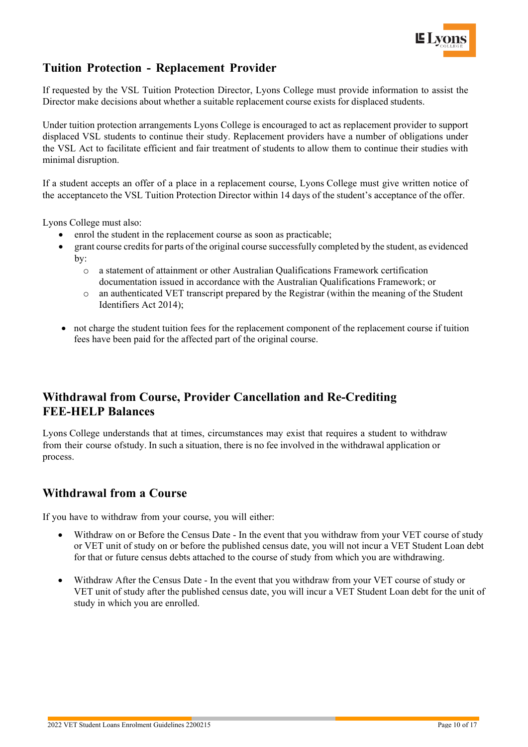

# <span id="page-9-0"></span>**Tuition Protection - Replacement Provider**

If requested by the VSL Tuition Protection Director, Lyons College must provide information to assist the Director make decisions about whether a suitable replacement course exists for displaced students.

Under tuition protection arrangements Lyons College is encouraged to act as replacement provider to support displaced VSL students to continue their study. Replacement providers have a number of obligations under the VSL Act to facilitate efficient and fair treatment of students to allow them to continue their studies with minimal disruption.

If a student accepts an offer of a place in a replacement course, Lyons College must give written notice of the acceptanceto the VSL Tuition Protection Director within 14 days of the student's acceptance of the offer.

Lyons College must also:

- enrol the student in the replacement course as soon as practicable;
- grant course credits for parts of the original course successfully completed by the student, as evidenced by:
	- o a statement of attainment or other Australian Qualifications Framework certification documentation issued in accordance with the Australian Qualifications Framework; or
	- o an authenticated VET transcript prepared by the Registrar (within the meaning of the Student Identifiers Act 2014);
- not charge the student tuition fees for the replacement component of the replacement course if tuition fees have been paid for the affected part of the original course.

## <span id="page-9-1"></span>**Withdrawal from Course, Provider Cancellation and Re-Crediting FEE-HELP Balances**

Lyons College understands that at times, circumstances may exist that requires a student to withdraw from their course ofstudy. In such a situation, there is no fee involved in the withdrawal application or process.

#### <span id="page-9-2"></span>**Withdrawal from a Course**

If you have to withdraw from your course, you will either:

- Withdraw on or Before the Census Date In the event that you withdraw from your VET course of study or VET unit of study on or before the published census date, you will not incur a VET Student Loan debt for that or future census debts attached to the course of study from which you are withdrawing.
- Withdraw After the Census Date In the event that you withdraw from your VET course of study or VET unit of study after the published census date, you will incur a VET Student Loan debt for the unit of study in which you are enrolled.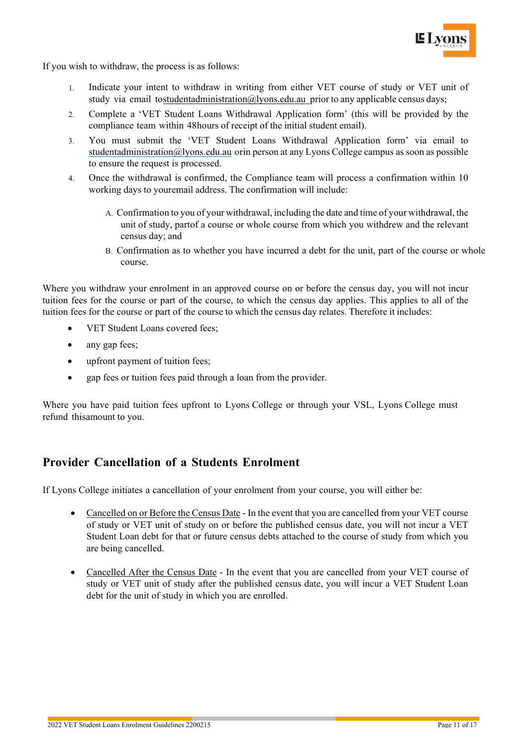

If you wish to withdraw, the process is as follows:

- 1. Indicate your intent to withdraw in writing from either VET course of study or VET unit of study via email t[ostudentadministration@lyons.edu.au p](mailto:studentadministration@lyons.edu.au)rior to any applicable census days;
- 2. Complete a 'VET Student Loans Withdrawal Application form' (this will be provided by the compliance team within 48hours of receipt of the initial student email).
- 3. You must submit the 'VET Student Loans Withdrawal Application form' via email to [studentadministration@lyons.edu.au](mailto:studentadministration@lyons.edu.au) orin person at any Lyons College campus as soon as possible to ensure the request is processed.
- 4. Once the withdrawal is confirmed, the Compliance team will process a confirmation within 10 working days to youremail address. The confirmation will include:
	- A. Confirmation to you of your withdrawal, including the date and time of your withdrawal, the unit of study, partof a course or whole course from which you withdrew and the relevant census day; and
	- B. Confirmation as to whether you have incurred a debt for the unit, part of the course or whole course.

Where you withdraw your enrolment in an approved course on or before the census day, you will not incur tuition fees for the course or part of the course, to which the census day applies. This applies to all of the tuition fees for the course or part of the course to which the census day relates. Therefore it includes:

- VET Student Loans covered fees:
- any gap fees;
- upfront payment of tuition fees;
- gap fees or tuition fees paid through a loan from the provider.

Where you have paid tuition fees upfront to Lyons College or through your VSL, Lyons College must refund thisamount to you.

### <span id="page-10-0"></span>**Provider Cancellation of a Students Enrolment**

If Lyons College initiates a cancellation of your enrolment from your course, you will either be:

- Cancelled on or Before the Census Date In the event that you are cancelled from your VET course of study or VET unit of study on or before the published census date, you will not incur a VET Student Loan debt for that or future census debts attached to the course of study from which you are being cancelled.
- Cancelled After the Census Date In the event that you are cancelled from your VET course of study or VET unit of study after the published census date, you will incur a VET Student Loan debt for the unit of study in which you are enrolled.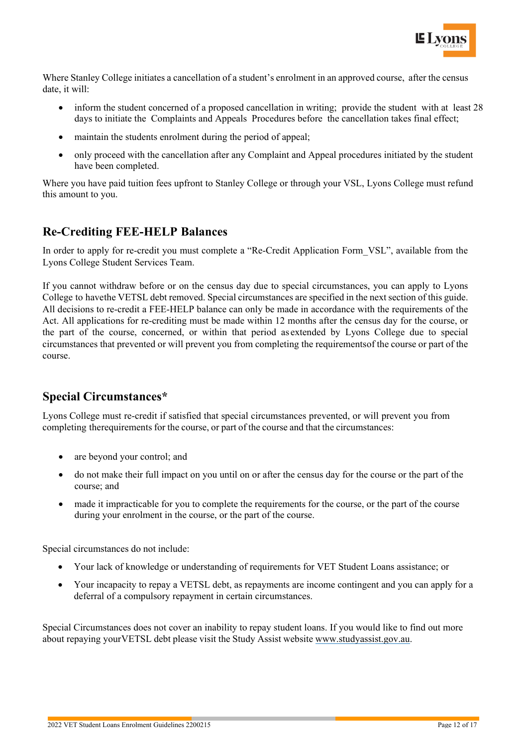

Where Stanley College initiates a cancellation of a student's enrolment in an approved course, after the census date, it will:

- inform the student concerned of a proposed cancellation in writing; provide the student with at least 28 days to initiate the Complaints and Appeals Procedures before the cancellation takes final effect;
- maintain the students enrolment during the period of appeal;
- only proceed with the cancellation after any Complaint and Appeal procedures initiated by the student have been completed.

Where you have paid tuition fees upfront to Stanley College or through your VSL, Lyons College must refund this amount to you.

### <span id="page-11-0"></span>**Re-Crediting FEE-HELP Balances**

In order to apply for re-credit you must complete a "Re-Credit Application Form VSL", available from the Lyons College Student Services Team.

If you cannot withdraw before or on the census day due to special circumstances, you can apply to Lyons College to havethe VETSL debt removed. Special circumstances are specified in the next section of this guide. All decisions to re-credit a FEE-HELP balance can only be made in accordance with the requirements of the Act. All applications for re-crediting must be made within 12 months after the census day for the course, or the part of the course, concerned, or within that period as extended by Lyons College due to special circumstances that prevented or will prevent you from completing the requirementsof the course or part of the course.

# <span id="page-11-1"></span>**Special Circumstances\***

Lyons College must re-credit if satisfied that special circumstances prevented, or will prevent you from completing therequirements for the course, or part of the course and that the circumstances:

- are beyond your control; and
- do not make their full impact on you until on or after the census day for the course or the part of the course; and
- made it impracticable for you to complete the requirements for the course, or the part of the course during your enrolment in the course, or the part of the course.

Special circumstances do not include:

- Your lack of knowledge or understanding of requirements for VET Student Loans assistance; or
- Your incapacity to repay a VETSL debt, as repayments are income contingent and you can apply for a deferral of a compulsory repayment in certain circumstances.

Special Circumstances does not cover an inability to repay student loans. If you would like to find out more about repaying yourVETSL debt please visit the Study Assist website [www.studyassist.gov.au.](http://www.studyassist.gov.au/)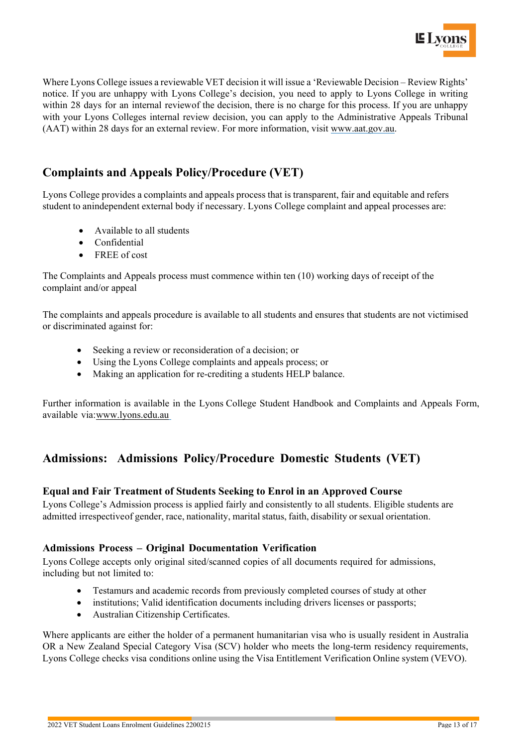

Where Lyons College issues a reviewable VET decision it will issue a 'Reviewable Decision – Review Rights' notice. If you are unhappy with Lyons College's decision, you need to apply to Lyons College in writing within 28 days for an internal reviewof the decision, there is no charge for this process. If you are unhappy with your Lyons Colleges internal review decision, you can apply to the Administrative Appeals Tribunal (AAT) within 28 days for an external review. For more information, visit [www.aat.gov.au.](http://www.aat.gov.au/)

# <span id="page-12-0"></span>**Complaints and Appeals Policy/Procedure (VET)**

Lyons College provides a complaints and appeals process that is transparent, fair and equitable and refers student to anindependent external body if necessary. Lyons College complaint and appeal processes are:

- Available to all students
- Confidential
- FREE of cost

The Complaints and Appeals process must commence within ten (10) working days of receipt of the complaint and/or appeal

The complaints and appeals procedure is available to all students and ensures that students are not victimised or discriminated against for:

- Seeking a review or reconsideration of a decision; or
- Using the Lyons College complaints and appeals process; or
- Making an application for re-crediting a students HELP balance.

Further information is available in the Lyons College Student Handbook and Complaints and Appeals Form, available via[:www.lyons.edu.au](http://www.lyons.edu.au/)

### <span id="page-12-1"></span>**Admissions: Admissions Policy/Procedure Domestic Students (VET)**

#### <span id="page-12-2"></span>**Equal and Fair Treatment of Students Seeking to Enrol in an Approved Course**

Lyons College's Admission process is applied fairly and consistently to all students. Eligible students are admitted irrespective of gender, race, nationality, marital status, faith, disability or sexual orientation.

#### <span id="page-12-3"></span>**Admissions Process – Original Documentation Verification**

Lyons College accepts only original sited/scanned copies of all documents required for admissions, including but not limited to:

- Testamurs and academic records from previously completed courses of study at other
- institutions; Valid identification documents including drivers licenses or passports;
- Australian Citizenship Certificates.

Where applicants are either the holder of a permanent humanitarian visa who is usually resident in Australia OR a New Zealand Special Category Visa (SCV) holder who meets the long-term residency requirements, Lyons College checks visa conditions online using the Visa Entitlement Verification Online system (VEVO).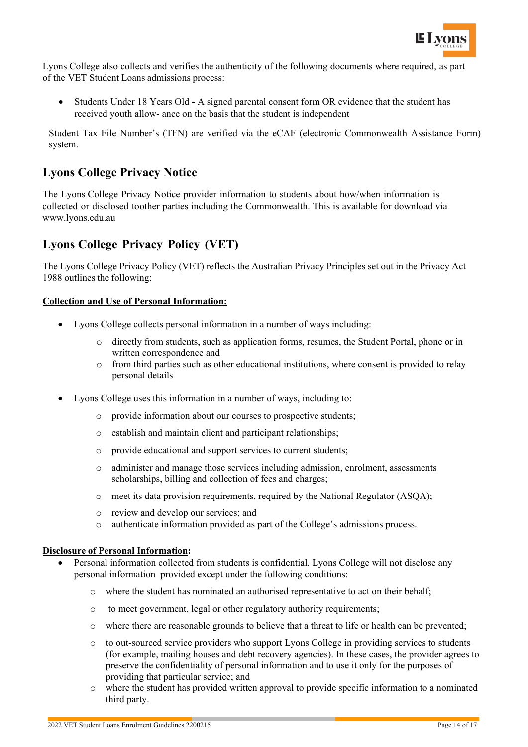

Lyons College also collects and verifies the authenticity of the following documents where required, as part of the VET Student Loans admissions process:

• Students Under 18 Years Old - A signed parental consent form OR evidence that the student has received youth allow- ance on the basis that the student is independent

Student Tax File Number's (TFN) are verified via the eCAF (electronic Commonwealth Assistance Form) system.

### <span id="page-13-0"></span>**Lyons College Privacy Notice**

The Lyons College Privacy Notice provider information to students about how/when information is collected or disclosed toother parties including the Commonwealth. This is available for download via www.lyons.edu.au

# <span id="page-13-1"></span>**Lyons College Privacy Policy (VET)**

The Lyons College Privacy Policy (VET) reflects the Australian Privacy Principles set out in the Privacy Act 1988 outlines the following:

#### **Collection and Use of Personal Information:**

- Lyons College collects personal information in a number of ways including:
	- $\circ$  directly from students, such as application forms, resumes, the Student Portal, phone or in written correspondence and
	- o from third parties such as other educational institutions, where consent is provided to relay personal details
- Lyons College uses this information in a number of ways, including to:
	- o provide information about our courses to prospective students;
	- o establish and maintain client and participant relationships;
	- o provide educational and support services to current students;
	- o administer and manage those services including admission, enrolment, assessments scholarships, billing and collection of fees and charges;
	- o meet its data provision requirements, required by the National Regulator (ASQA);
	- o review and develop our services; and
	- o authenticate information provided as part of the College's admissions process.

#### **Disclosure of Personal Information:**

- Personal information collected from students is confidential. Lyons College will not disclose any personal information provided except under the following conditions:
	- o where the student has nominated an authorised representative to act on their behalf;
	- o to meet government, legal or other regulatory authority requirements;
	- o where there are reasonable grounds to believe that a threat to life or health can be prevented;
	- o to out-sourced service providers who support Lyons College in providing services to students (for example, mailing houses and debt recovery agencies). In these cases, the provider agrees to preserve the confidentiality of personal information and to use it only for the purposes of providing that particular service; and
	- o where the student has provided written approval to provide specific information to a nominated third party.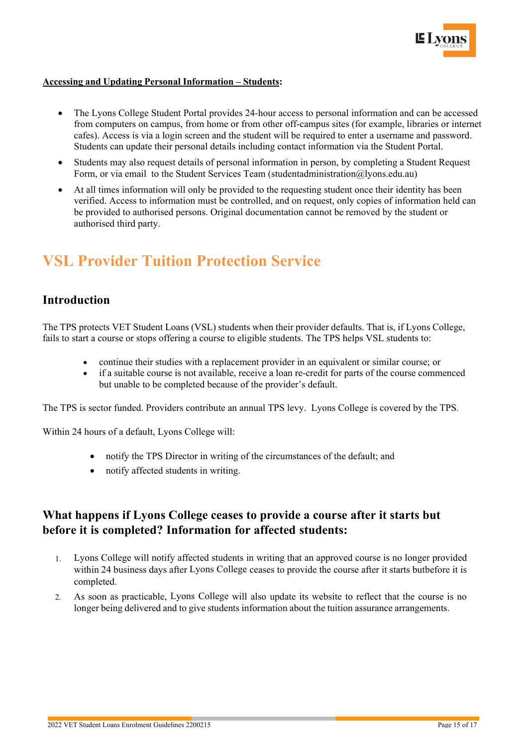

#### **Accessing and Updating Personal Information – Students:**

- The Lyons College Student Portal provides 24-hour access to personal information and can be accessed from computers on campus, from home or from other off-campus sites (for example, libraries or internet cafes). Access is via a login screen and the student will be required to enter a username and password. Students can update their personal details including contact information via the Student Portal.
- Students may also request details of personal information in person, by completing a Student Request Form, or via email to the Student Services Team (studentadministration@lyons.edu.au)
- At all times information will only be provided to the requesting student once their identity has been verified. Access to information must be controlled, and on request, only copies of information held can be provided to authorised persons. Original documentation cannot be removed by the student or authorised third party.

# **VSL Provider Tuition Protection Service**

#### <span id="page-14-0"></span>**Introduction**

The TPS protects VET Student Loans (VSL) students when their provider defaults. That is, if Lyons College, fails to start a course or stops offering a course to eligible students. The TPS helps VSL students to:

- continue their studies with a replacement provider in an equivalent or similar course; or
- if a suitable course is not available, receive a loan re-credit for parts of the course commenced but unable to be completed because of the provider's default.

The TPS is sector funded. Providers contribute an annual TPS levy. Lyons College is covered by the TPS.

Within 24 hours of a default, Lyons College will:

- notify the TPS Director in writing of the circumstances of the default; and
- notify affected students in writing.

#### <span id="page-14-1"></span>**What happens if Lyons College ceases to provide a course after it starts but before it is completed? Information for affected students:**

- 1. Lyons College will notify affected students in writing that an approved course is no longer provided within 24 business days after Lyons College ceases to provide the course after it starts butbefore it is completed.
- 2. As soon as practicable, Lyons College will also update its website to reflect that the course is no longer being delivered and to give students information about the tuition assurance arrangements.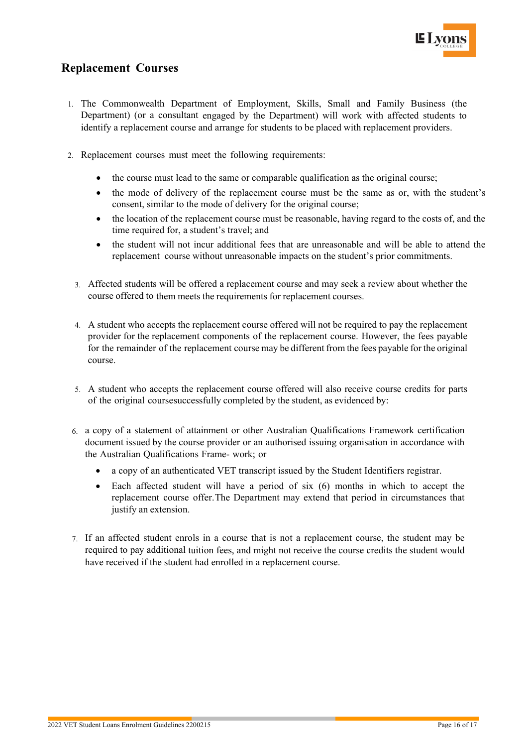

## <span id="page-15-0"></span>**Replacement Courses**

- 1. The Commonwealth Department of Employment, Skills, Small and Family Business (the Department) (or a consultant engaged by the Department) will work with affected students to identify a replacement course and arrange for students to be placed with replacement providers.
- 2. Replacement courses must meet the following requirements:
	- the course must lead to the same or comparable qualification as the original course;
	- the mode of delivery of the replacement course must be the same as or, with the student's consent, similar to the mode of delivery for the original course;
	- the location of the replacement course must be reasonable, having regard to the costs of, and the time required for, a student's travel; and
	- the student will not incur additional fees that are unreasonable and will be able to attend the replacement course without unreasonable impacts on the student's prior commitments.
	- 3. Affected students will be offered a replacement course and may seek a review about whether the course offered to them meets the requirements for replacement courses.
	- 4. A student who accepts the replacement course offered will not be required to pay the replacement provider for the replacement components of the replacement course. However, the fees payable for the remainder of the replacement course may be different from the fees payable for the original course.
	- 5. A student who accepts the replacement course offered will also receive course credits for parts of the original coursesuccessfully completed by the student, as evidenced by:
	- 6. a copy of a statement of attainment or other Australian Qualifications Framework certification document issued by the course provider or an authorised issuing organisation in accordance with the Australian Qualifications Frame- work; or
		- a copy of an authenticated VET transcript issued by the Student Identifiers registrar.
		- Each affected student will have a period of six (6) months in which to accept the replacement course offer.The Department may extend that period in circumstances that justify an extension.
- 7. If an affected student enrols in a course that is not a replacement course, the student may be required to pay additional tuition fees, and might not receive the course credits the student would have received if the student had enrolled in a replacement course.